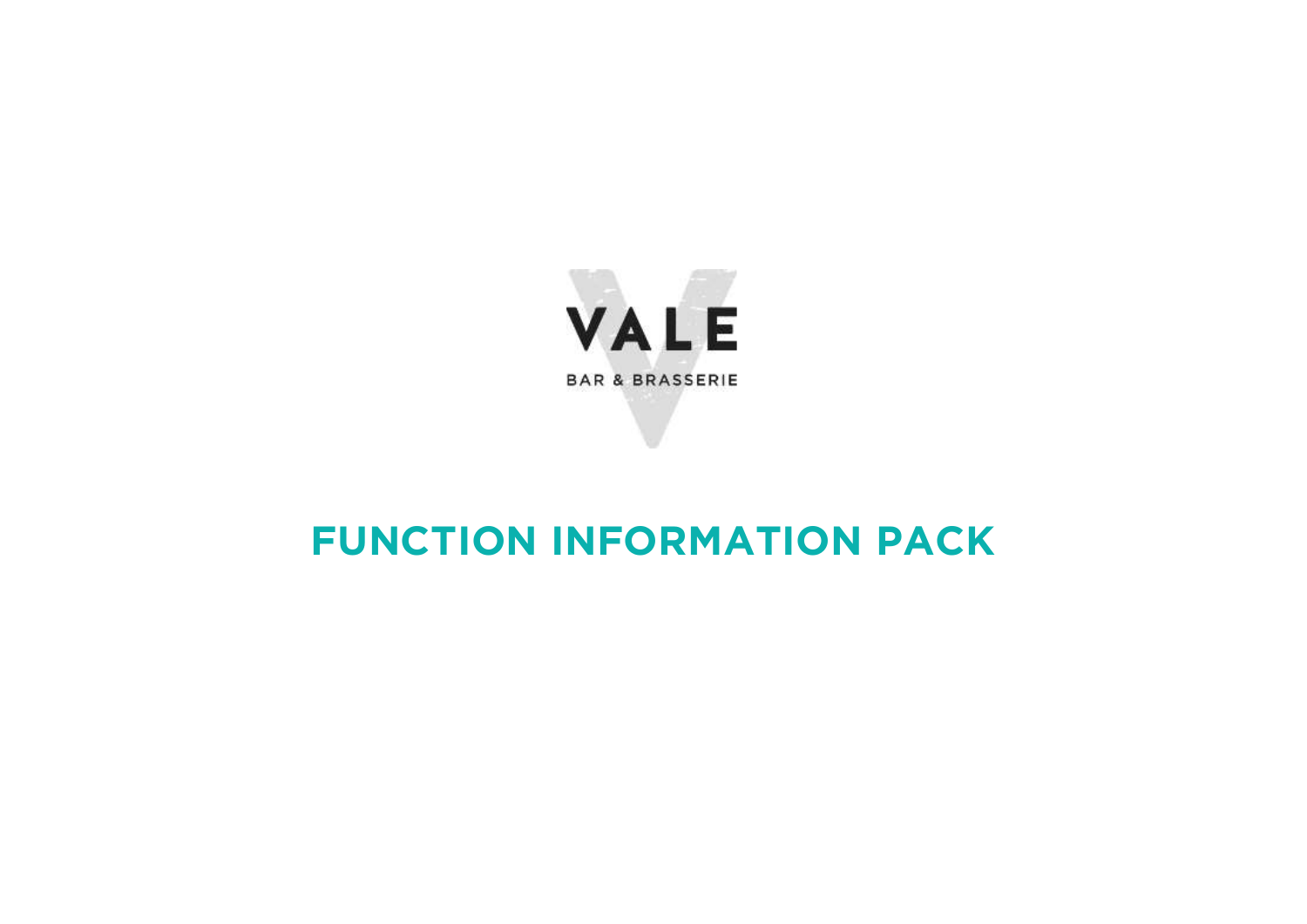

# **FUNCTION INFORMATION PACK**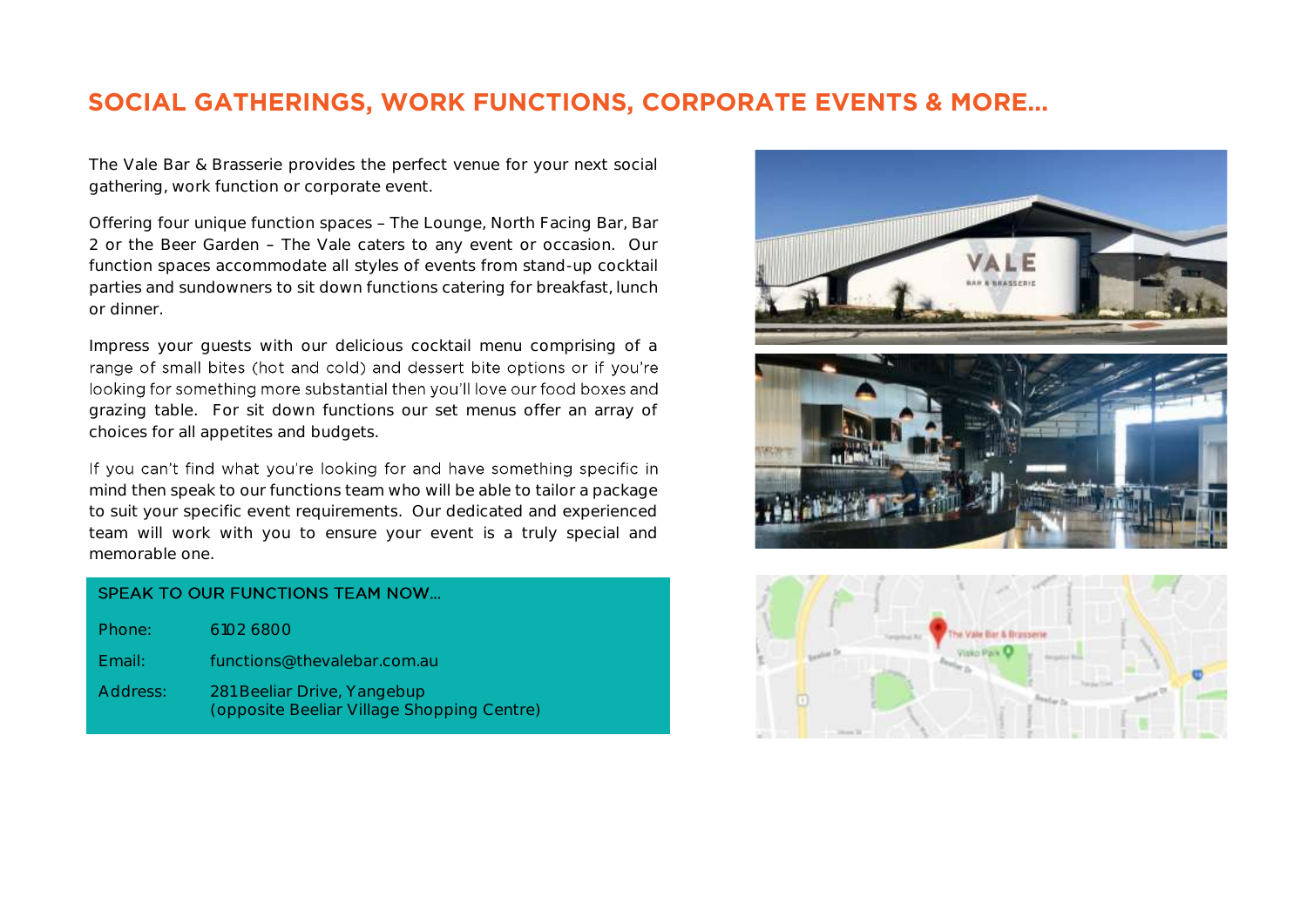# **SOCIAL GATHERINGS, WORK FUNCTIONS, CORPORATE EVENTS & MORE…**

The Vale Bar & Brasserie provides the perfect venue for your next social gathering, work function or corporate event.

Offering four unique function spaces - The Lounge, North Facing Bar, Bar 2 or the Beer Garden - The Vale caters to any event or occasion. Our function spaces accommodate all styles of events from stand-up cocktail parties and sundowners to sit down functions catering for breakfast, lunch or dinner.

Impress your guests with our delicious cocktail menu comprising of a range of small bites (hot and cold) and dessert bite options or if you're looking for something more substantial then you'll love our food boxes and grazing table. For sit down functions our set menus offer an array of choices for all appetites and budgets.

If you can't find what you're looking for and have something specific in mind then speak to our functions team who will be able to tailor a package to suit your specific event requirements. Our dedicated and experienced team will work with you to ensure your event is a truly special and memorable one.

| SPEAK TO OUR FUNCTIONS TEAM NOW |                                                                           |  |
|---------------------------------|---------------------------------------------------------------------------|--|
| Phone:                          | 6102 6800                                                                 |  |
| Email:                          | functions@thevalebar.com.au                                               |  |
| Address:                        | 281 Beeliar Drive, Yangebup<br>(opposite Beeliar Village Shopping Centre) |  |

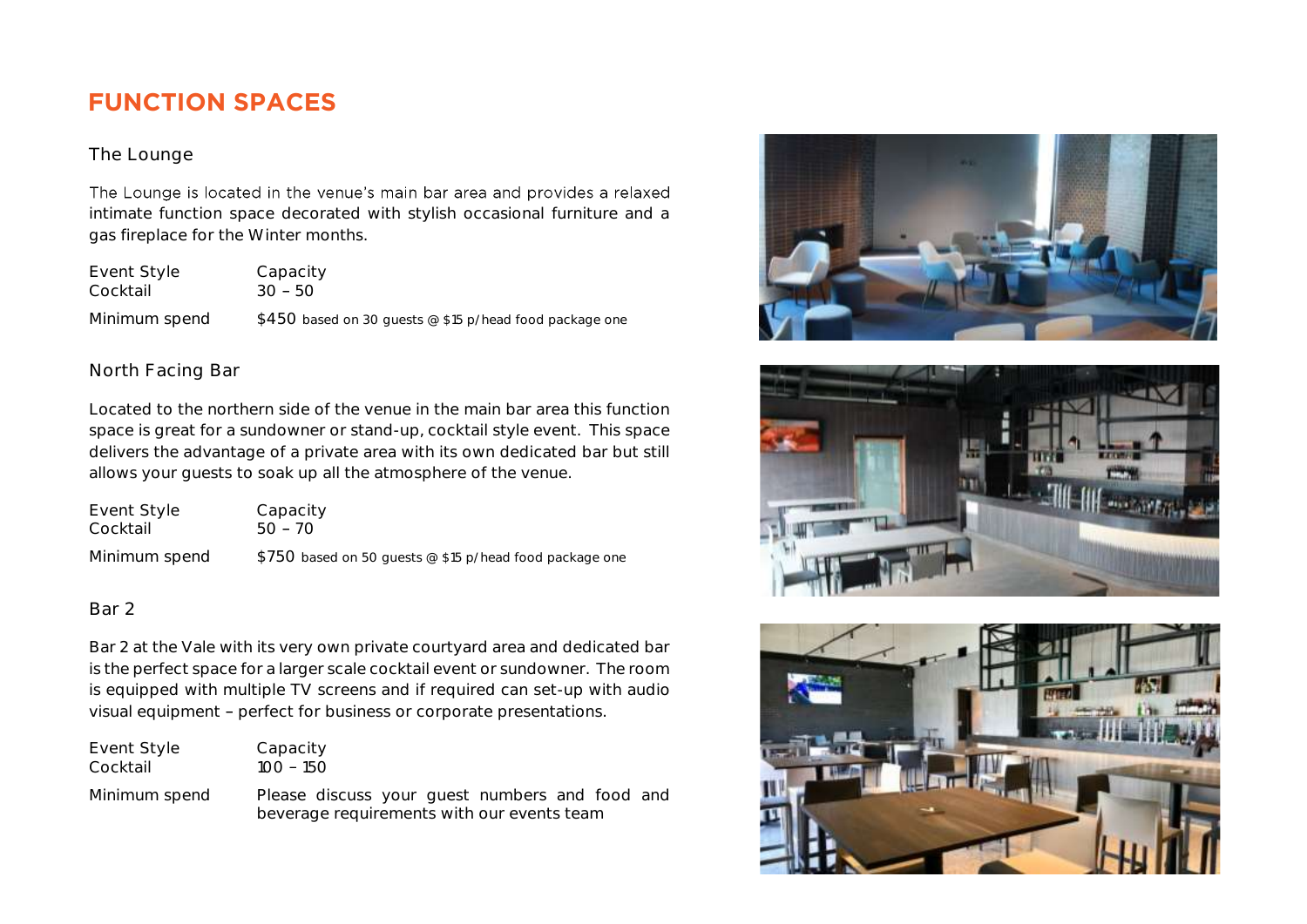# **FUNCTION SPACES**

### The Lounge

The Lounge is located in the venue's main bar area and provides a relaxed intimate function space decorated with stylish occasional furniture and a gas fireplace for the Winter months.

Event Style Capacity Cocktail 30 - 50 Minimum spend \$450 based on 30 guests @ \$15 p/head food package one

### North Facing Bar

Located to the northern side of the venue in the main bar area this function space is great for a sundowner or stand-up, cocktail style event. This space delivers the advantage of a private area with its own dedicated bar but still allows your guests to soak up all the atmosphere of the venue.

| Event Style   | Capacity                                                |
|---------------|---------------------------------------------------------|
| Cocktail      | 50 – 70                                                 |
| Minimum spend | \$750 based on 50 quests @ \$15 p/head food package one |

### Bar 2

Bar 2 at the Vale with its very own private courtyard area and dedicated bar is the perfect space for a larger scale cocktail event or sundowner. The room is equipped with multiple TV screens and if required can set-up with audio visual equipment - perfect for business or corporate presentations.

| Event Style   | Capacity                                                                                     |
|---------------|----------------------------------------------------------------------------------------------|
| Cocktail      | 100 – 150                                                                                    |
| Minimum spend | Please discuss your guest numbers and food and<br>beverage requirements with our events team |





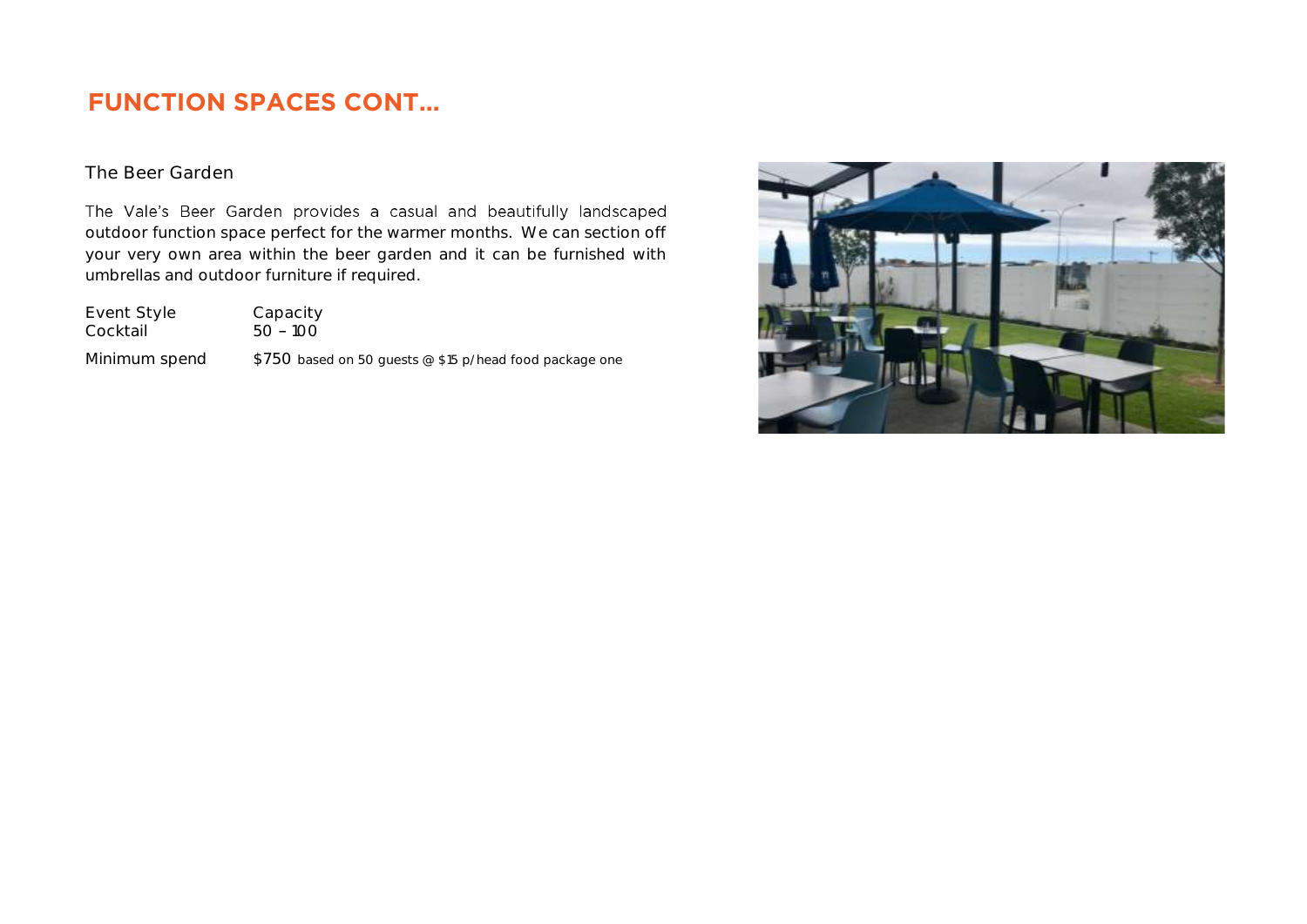# **FUNCTION SPACES CONT…**

### The Beer Garden

The Vale's Beer Garden provides a casual and beautifully landscaped outdoor function space perfect for the warmer months. We can section off your very own area within the beer garden and it can be furnished with umbrellas and outdoor furniture if required.

| Event Style   | Capacity                                                 |
|---------------|----------------------------------------------------------|
| Cocktail      | $50 - 100$                                               |
| Minimum spend | $$750$ based on 50 quests @ \$15 p/head food package one |

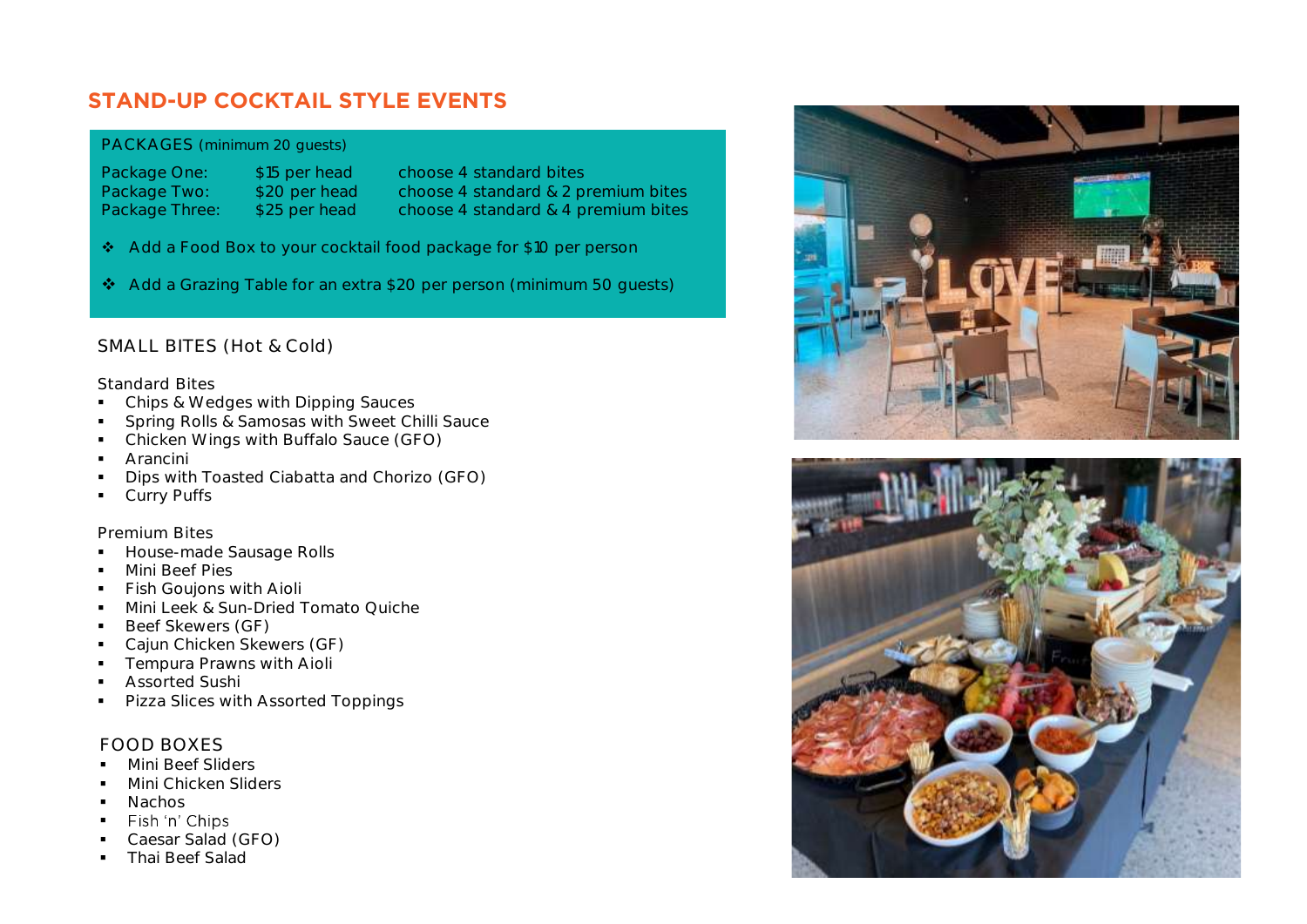### **STAND-UP COCKTAIL STYLE EVENTS**

### PACKAGES (minimum 20 guests)

Package One: \$15 per head choose 4 standard bites

Package Two: \$20 per head choose 4 standard & 2 premium bites Package Three: \$25 per head choose 4 standard & 4 premium bites

- ❖ Add a Food Box to your cocktail food package for \$10 per person
- ❖ Add a Grazing Table for an extra \$20 per person (minimum 50 guests)

### SMALL BITES (Hot & Cold)

#### Standard Bites

- Chips & Wedges with Dipping Sauces
- **•** Spring Rolls & Samosas with Sweet Chilli Sauce
- Chicken Wings with Buffalo Sauce (GFO)
- Arancini
- Dips with Toasted Ciabatta and Chorizo (GFO)
- **•** Curry Puffs

### Premium Bites

- **■** House-made Sausage Rolls
- Mini Beef Pies
- **•** Fish Goujons with Aioli
- Mini Leek & Sun-Dried Tomato Quiche
- Beef Skewers (GF)
- Cajun Chicken Skewers (GF)
- **•** Tempura Prawns with Aioli
- Assorted Sushi
- Pizza Slices with Assorted Toppings

### FOOD BOXES

- Mini Beef Sliders
- **·** Mini Chicken Sliders
- 
- Nachos<br>■ Fish 'n' Chips ▪
- Caesar Salad (GFO)
- **Thai Beef Salad**



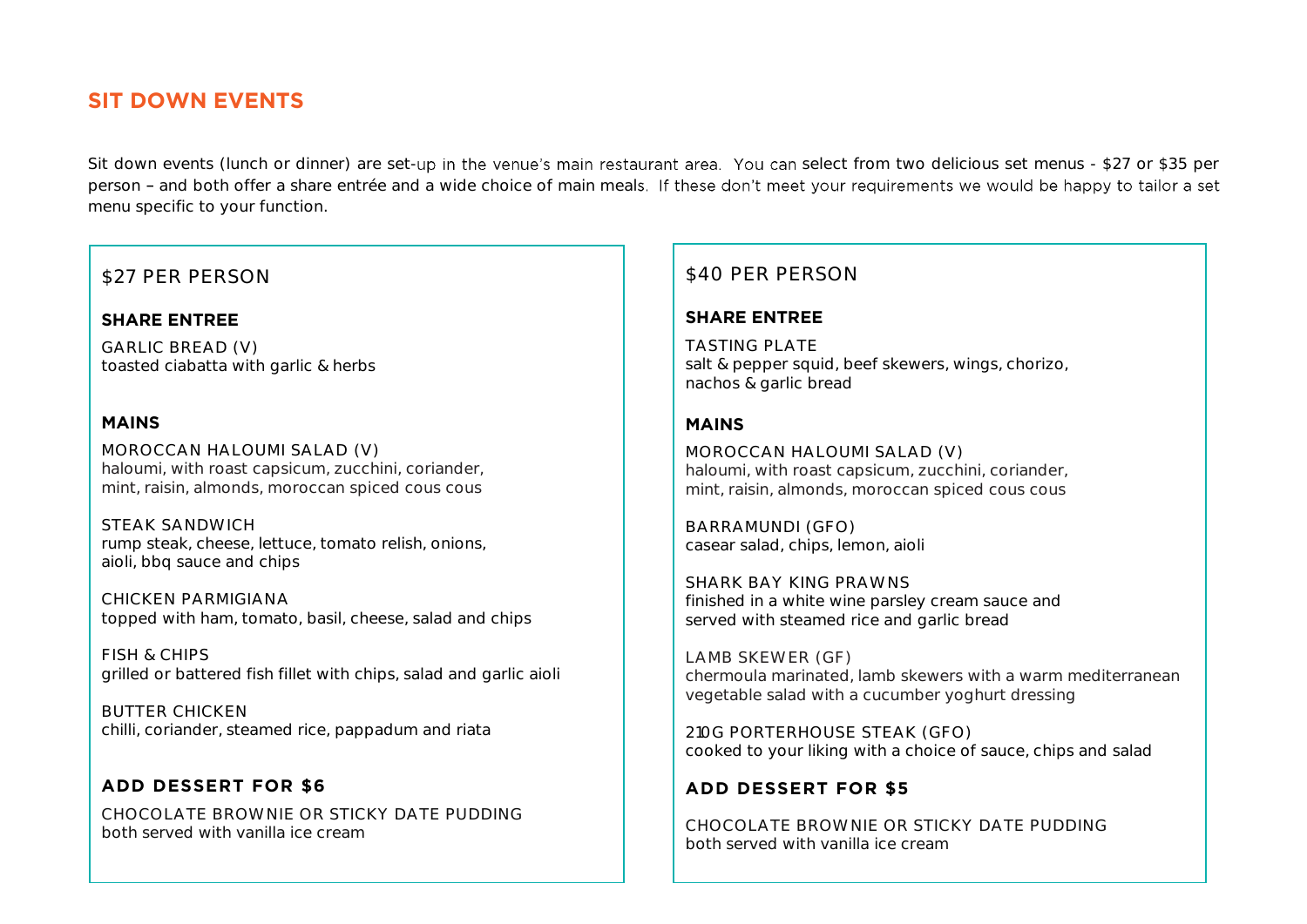### **SIT DOWN EVENTS**

Sit down events (lunch or dinner) are set-up in the venue's main restaurant area. You can select from two delicious set menus - \$27 or \$35 per person - and both offer a share entrée and a wide choice of main meals. If these don't meet your requirements we would be happy to tailor a set menu specific to your function.

### \$27 PER PERSON

#### **SHARE ENTREE**

GARLIC BREAD (V) toasted ciabatta with garlic & herbs

#### **MAINS**

MOROCCAN HALOUMI SALAD (V) haloumi, with roast capsicum, zucchini, coriander, mint, raisin, almonds, moroccan spiced cous cous

STEAK SANDWICH rump steak, cheese, lettuce, tomato relish, onions, aioli, bbq sauce and chips

CHICKEN PARMIGIANA topped with ham, tomato, basil, cheese, salad and chips

FISH & CHIPS grilled or battered fish fillet with chips, salad and garlic aioli

BUTTER CHICKEN chilli, coriander, steamed rice, pappadum and riata

### **ADD DESSERT FOR \$6** CHOCOLATE BROWNIE OR STICKY DATE PUDDING

both served with vanilla ice cream

### \$40 PER PERSON

### **SHARE ENTREE**

TASTING PLATE salt & pepper squid, beef skewers, wings, chorizo, nachos & garlic bread

### **MAINS**

MOROCCAN HALOUMI SALAD (V) haloumi, with roast capsicum, zucchini, coriander, mint, raisin, almonds, moroccan spiced cous cous

BARRAMUNDI (GFO) casear salad, chips, lemon, aioli

SHARK BAY KING PRAWNS finished in a white wine parsley cream sauce and served with steamed rice and garlic bread

LAMB SKEWER (GF) chermoula marinated, lamb skewers with a warm mediterranean vegetable salad with a cucumber yoghurt dressing

210G PORTERHOUSE STEAK (GFO) cooked to your liking with a choice of sauce, chips and salad

### **ADD DESSERT FOR \$5**

CHOCOLATE BROWNIE OR STICKY DATE PUDDING both served with vanilla ice cream